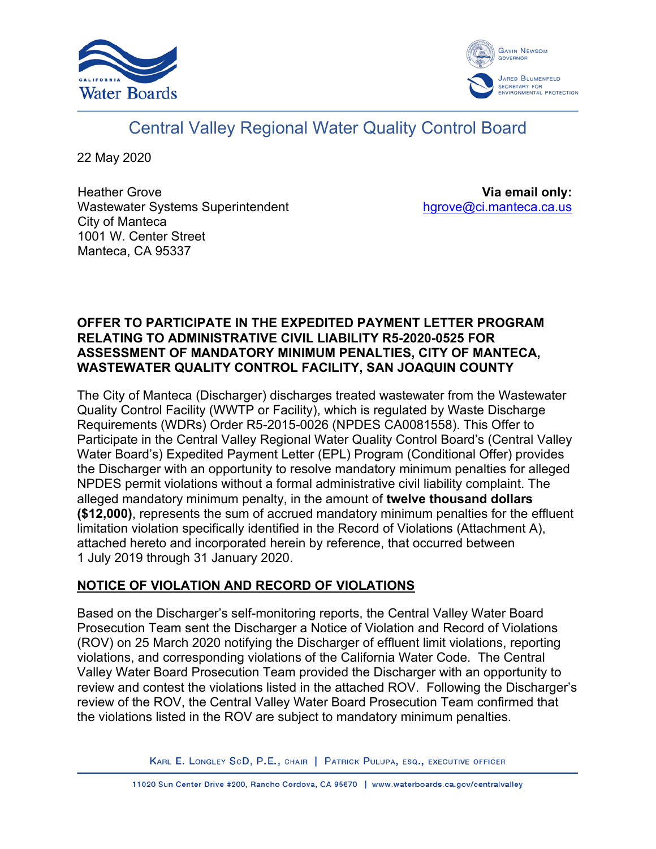



# Central Valley Regional Water Quality Control Board

22 May 2020

Heather Grove Wastewater Systems Superintendent City of Manteca 1001 W. Center Street Manteca, CA 95337

**Via email only:** [hgrove@ci.manteca.ca.us](mailto:hgrove@ci.manteca.ca.us)

#### **OFFER TO PARTICIPATE IN THE EXPEDITED PAYMENT LETTER PROGRAM RELATING TO ADMINISTRATIVE CIVIL LIABILITY R5-2020-0525 FOR ASSESSMENT OF MANDATORY MINIMUM PENALTIES, CITY OF MANTECA, WASTEWATER QUALITY CONTROL FACILITY, SAN JOAQUIN COUNTY**

The City of Manteca (Discharger) discharges treated wastewater from the Wastewater Quality Control Facility (WWTP or Facility), which is regulated by Waste Discharge Requirements (WDRs) Order R5-2015-0026 (NPDES CA0081558). This Offer to Participate in the Central Valley Regional Water Quality Control Board's (Central Valley Water Board's) Expedited Payment Letter (EPL) Program (Conditional Offer) provides the Discharger with an opportunity to resolve mandatory minimum penalties for alleged NPDES permit violations without a formal administrative civil liability complaint. The alleged mandatory minimum penalty, in the amount of **twelve thousand dollars (\$12,000)**, represents the sum of accrued mandatory minimum penalties for the effluent limitation violation specifically identified in the Record of Violations (Attachment A), attached hereto and incorporated herein by reference, that occurred between 1 July 2019 through 31 January 2020.

# **NOTICE OF VIOLATION AND RECORD OF VIOLATIONS**

Based on the Discharger's self-monitoring reports, the Central Valley Water Board Prosecution Team sent the Discharger a Notice of Violation and Record of Violations (ROV) on 25 March 2020 notifying the Discharger of effluent limit violations, reporting violations, and corresponding violations of the California Water Code. The Central Valley Water Board Prosecution Team provided the Discharger with an opportunity to review and contest the violations listed in the attached ROV. Following the Discharger's review of the ROV, the Central Valley Water Board Prosecution Team confirmed that the violations listed in the ROV are subject to mandatory minimum penalties.

KARL E. LONGLEY SCD, P.E., CHAIR | PATRICK PULUPA, ESQ., EXECUTIVE OFFICER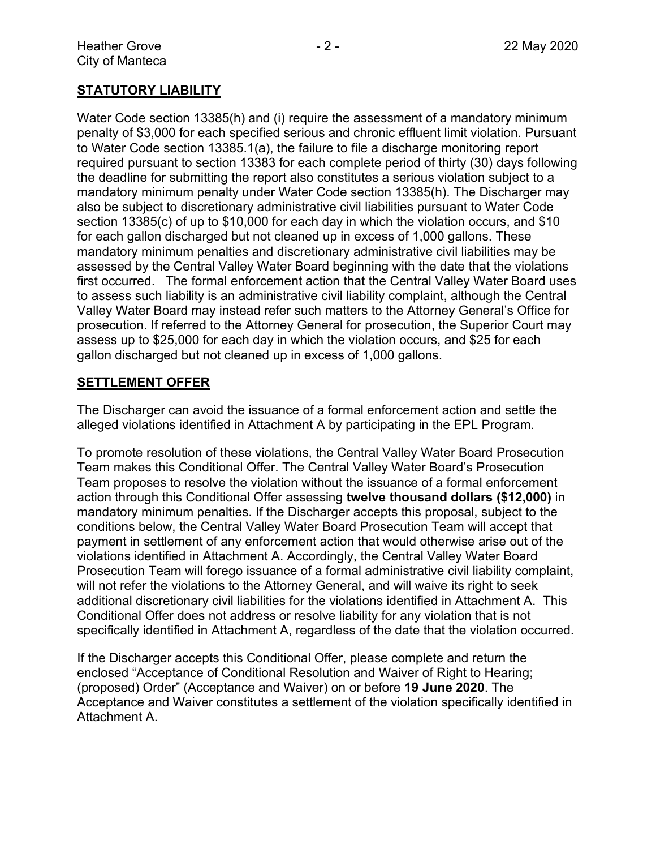# **STATUTORY LIABILITY**

Water Code section 13385(h) and (i) require the assessment of a mandatory minimum penalty of \$3,000 for each specified serious and chronic effluent limit violation. Pursuant to Water Code section 13385.1(a), the failure to file a discharge monitoring report required pursuant to section 13383 for each complete period of thirty (30) days following the deadline for submitting the report also constitutes a serious violation subject to a mandatory minimum penalty under Water Code section 13385(h). The Discharger may also be subject to discretionary administrative civil liabilities pursuant to Water Code section 13385(c) of up to \$10,000 for each day in which the violation occurs, and \$10 for each gallon discharged but not cleaned up in excess of 1,000 gallons. These mandatory minimum penalties and discretionary administrative civil liabilities may be assessed by the Central Valley Water Board beginning with the date that the violations first occurred. The formal enforcement action that the Central Valley Water Board uses to assess such liability is an administrative civil liability complaint, although the Central Valley Water Board may instead refer such matters to the Attorney General's Office for prosecution. If referred to the Attorney General for prosecution, the Superior Court may assess up to \$25,000 for each day in which the violation occurs, and \$25 for each gallon discharged but not cleaned up in excess of 1,000 gallons.

## **SETTLEMENT OFFER**

The Discharger can avoid the issuance of a formal enforcement action and settle the alleged violations identified in Attachment A by participating in the EPL Program.

To promote resolution of these violations, the Central Valley Water Board Prosecution Team makes this Conditional Offer. The Central Valley Water Board's Prosecution Team proposes to resolve the violation without the issuance of a formal enforcement action through this Conditional Offer assessing **twelve thousand dollars (\$12,000)** in mandatory minimum penalties. If the Discharger accepts this proposal, subject to the conditions below, the Central Valley Water Board Prosecution Team will accept that payment in settlement of any enforcement action that would otherwise arise out of the violations identified in Attachment A. Accordingly, the Central Valley Water Board Prosecution Team will forego issuance of a formal administrative civil liability complaint, will not refer the violations to the Attorney General, and will waive its right to seek additional discretionary civil liabilities for the violations identified in Attachment A. This Conditional Offer does not address or resolve liability for any violation that is not specifically identified in Attachment A, regardless of the date that the violation occurred.

If the Discharger accepts this Conditional Offer, please complete and return the enclosed "Acceptance of Conditional Resolution and Waiver of Right to Hearing; (proposed) Order" (Acceptance and Waiver) on or before **19 June 2020**. The Acceptance and Waiver constitutes a settlement of the violation specifically identified in Attachment A.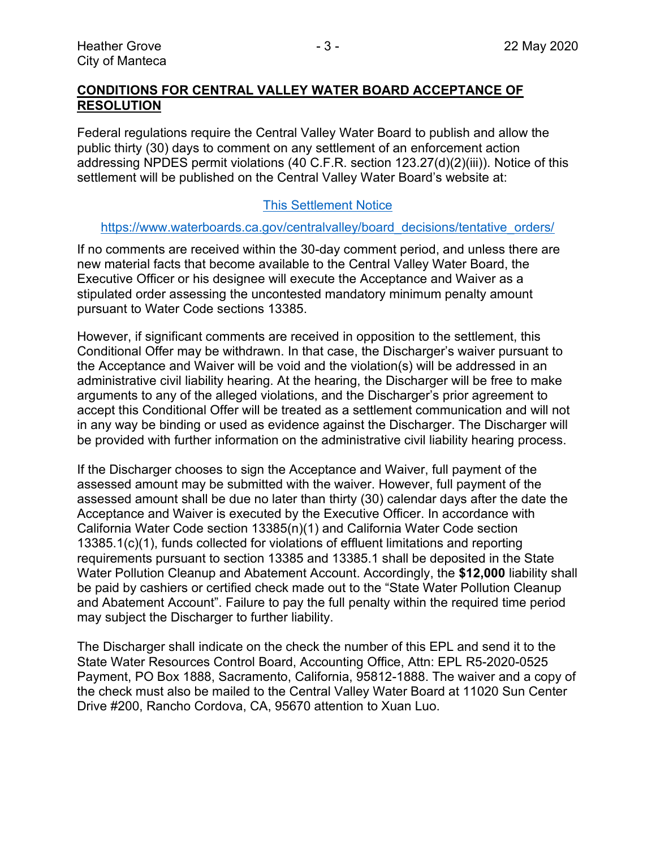## **CONDITIONS FOR CENTRAL VALLEY WATER BOARD ACCEPTANCE OF RESOLUTION**

Federal regulations require the Central Valley Water Board to publish and allow the public thirty (30) days to comment on any settlement of an enforcement action addressing NPDES permit violations (40 C.F.R. section 123.27(d)(2)(iii)). Notice of this settlement will be published on the Central Valley Water Board's website at:

## [This Settlement Notice](https://www.waterboards.ca.gov/centralvalley/board_decisions/tentative_orders/)

#### [https://www.waterboards.ca.gov/centralvalley/board\\_decisions/tentative\\_orders/](https://www.waterboards.ca.gov/centralvalley/board_decisions/tentative_orders/)

If no comments are received within the 30-day comment period, and unless there are new material facts that become available to the Central Valley Water Board, the Executive Officer or his designee will execute the Acceptance and Waiver as a stipulated order assessing the uncontested mandatory minimum penalty amount pursuant to Water Code sections 13385.

However, if significant comments are received in opposition to the settlement, this Conditional Offer may be withdrawn. In that case, the Discharger's waiver pursuant to the Acceptance and Waiver will be void and the violation(s) will be addressed in an administrative civil liability hearing. At the hearing, the Discharger will be free to make arguments to any of the alleged violations, and the Discharger's prior agreement to accept this Conditional Offer will be treated as a settlement communication and will not in any way be binding or used as evidence against the Discharger. The Discharger will be provided with further information on the administrative civil liability hearing process.

If the Discharger chooses to sign the Acceptance and Waiver, full payment of the assessed amount may be submitted with the waiver. However, full payment of the assessed amount shall be due no later than thirty (30) calendar days after the date the Acceptance and Waiver is executed by the Executive Officer. In accordance with California Water Code section 13385(n)(1) and California Water Code section 13385.1(c)(1), funds collected for violations of effluent limitations and reporting requirements pursuant to section 13385 and 13385.1 shall be deposited in the State Water Pollution Cleanup and Abatement Account. Accordingly, the **\$12,000** liability shall be paid by cashiers or certified check made out to the "State Water Pollution Cleanup and Abatement Account". Failure to pay the full penalty within the required time period may subject the Discharger to further liability.

The Discharger shall indicate on the check the number of this EPL and send it to the State Water Resources Control Board, Accounting Office, Attn: EPL R5-2020-0525 Payment, PO Box 1888, Sacramento, California, 95812-1888. The waiver and a copy of the check must also be mailed to the Central Valley Water Board at 11020 Sun Center Drive #200, Rancho Cordova, CA, 95670 attention to Xuan Luo.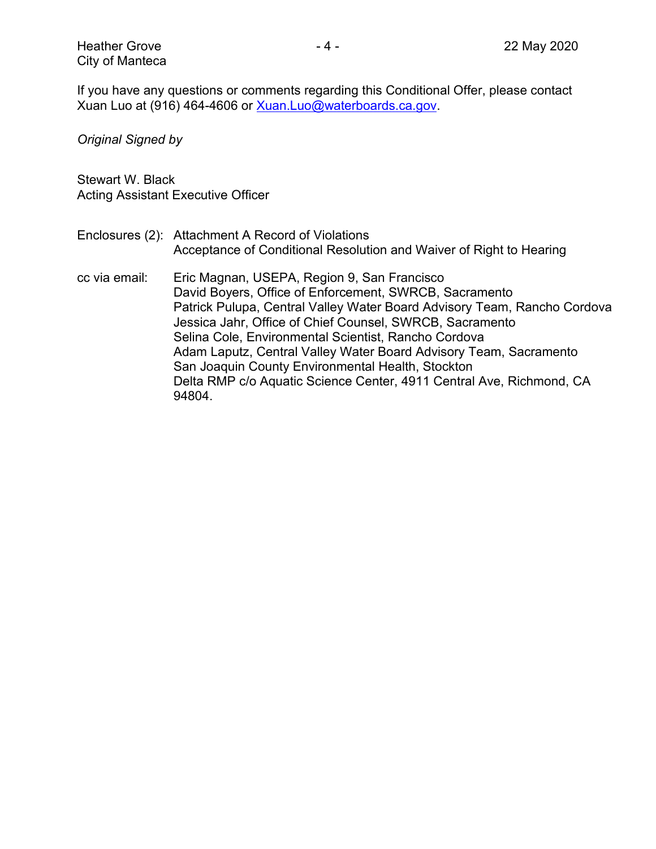If you have any questions or comments regarding this Conditional Offer, please contact Xuan Luo at (916) 464-4606 or [Xuan.Luo@waterboards.ca.gov.](mailto:Xuan.Luo@waterboards.ca.gov)

*Original Signed by*

Stewart W. Black Acting Assistant Executive Officer

- Enclosures (2): Attachment A Record of Violations Acceptance of Conditional Resolution and Waiver of Right to Hearing
- cc via email: Eric Magnan, USEPA, Region 9, San Francisco David Boyers, Office of Enforcement, SWRCB, Sacramento Patrick Pulupa, Central Valley Water Board Advisory Team, Rancho Cordova Jessica Jahr, Office of Chief Counsel, SWRCB, Sacramento Selina Cole, Environmental Scientist, Rancho Cordova Adam Laputz, Central Valley Water Board Advisory Team, Sacramento San Joaquin County Environmental Health, Stockton Delta RMP c/o Aquatic Science Center, 4911 Central Ave, Richmond, CA 94804.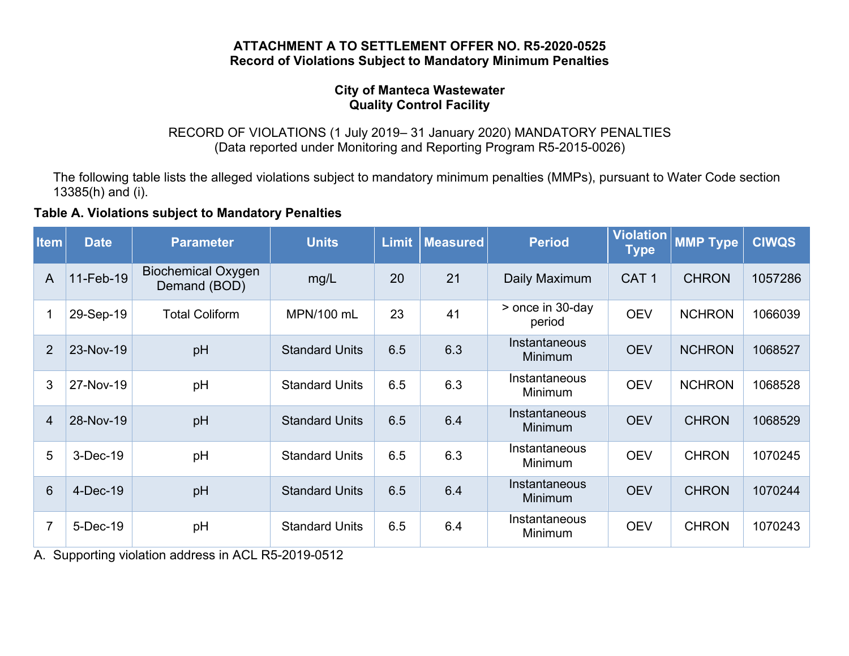#### **ATTACHMENT A TO SETTLEMENT OFFER NO. R5-2020-0525 Record of Violations Subject to Mandatory Minimum Penalties**

#### **City of Manteca Wastewater Quality Control Facility**

RECORD OF VIOLATIONS (1 July 2019– 31 January 2020) MANDATORY PENALTIES (Data reported under Monitoring and Reporting Program R5-2015-0026)

The following table lists the alleged violations subject to mandatory minimum penalties (MMPs), pursuant to Water Code section 13385(h) and (i).

## **Table A. Violations subject to Mandatory Penalties**

| <b>Item</b>     | <b>Date</b> | <b>Parameter</b>                          | <b>Units</b>          | <b>Limit</b> | <b>Measured</b> | <b>Period</b>              | <b>Violation</b><br><b>Type</b> | <b>MMP Type</b> | <b>CIWQS</b> |
|-----------------|-------------|-------------------------------------------|-----------------------|--------------|-----------------|----------------------------|---------------------------------|-----------------|--------------|
| A               | 11-Feb-19   | <b>Biochemical Oxygen</b><br>Demand (BOD) | mg/L                  | 20           | 21              | Daily Maximum              | CAT <sub>1</sub>                | <b>CHRON</b>    | 1057286      |
| 1               | 29-Sep-19   | <b>Total Coliform</b>                     | MPN/100 mL            | 23           | 41              | > once in 30-day<br>period | <b>OEV</b>                      | <b>NCHRON</b>   | 1066039      |
| $\overline{2}$  | 23-Nov-19   | pH                                        | <b>Standard Units</b> | 6.5          | 6.3             | Instantaneous<br>Minimum   | <b>OEV</b>                      | <b>NCHRON</b>   | 1068527      |
| 3               | 27-Nov-19   | pH                                        | <b>Standard Units</b> | 6.5          | 6.3             | Instantaneous<br>Minimum   | <b>OEV</b>                      | <b>NCHRON</b>   | 1068528      |
| $\overline{4}$  | 28-Nov-19   | pH                                        | <b>Standard Units</b> | 6.5          | 6.4             | Instantaneous<br>Minimum   | <b>OEV</b>                      | <b>CHRON</b>    | 1068529      |
| 5               | 3-Dec-19    | pH                                        | <b>Standard Units</b> | 6.5          | 6.3             | Instantaneous<br>Minimum   | <b>OEV</b>                      | <b>CHRON</b>    | 1070245      |
| $6\phantom{1}6$ | 4-Dec-19    | pH                                        | <b>Standard Units</b> | 6.5          | 6.4             | Instantaneous<br>Minimum   | <b>OEV</b>                      | <b>CHRON</b>    | 1070244      |
| $\overline{7}$  | 5-Dec-19    | pH                                        | <b>Standard Units</b> | 6.5          | 6.4             | Instantaneous<br>Minimum   | <b>OEV</b>                      | <b>CHRON</b>    | 1070243      |

A. Supporting violation address in ACL R5-2019-0512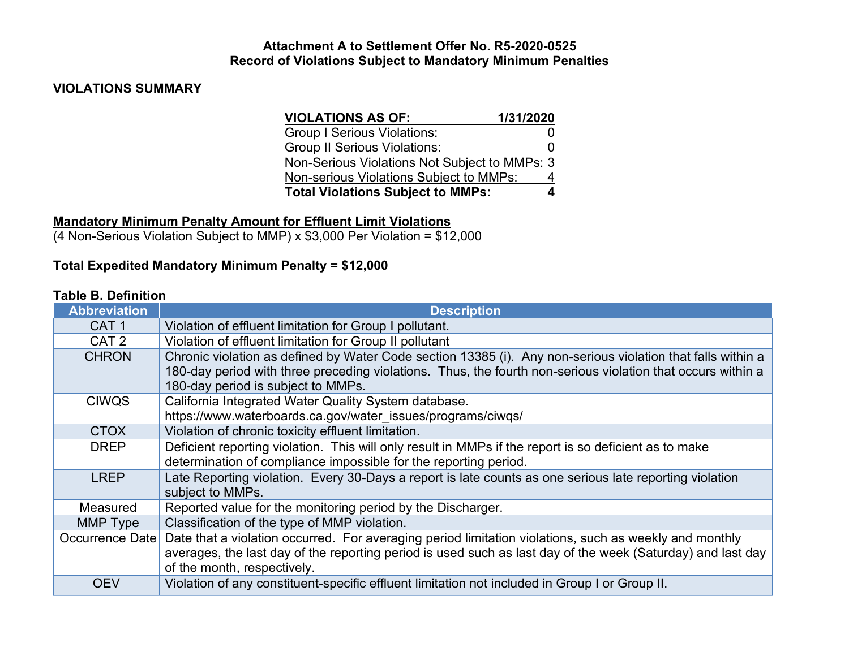#### **Attachment A to Settlement Offer No. R5-2020-0525 Record of Violations Subject to Mandatory Minimum Penalties**

## **VIOLATIONS SUMMARY**

| <b>VIOLATIONS AS OF:</b>                      | 1/31/2020    |
|-----------------------------------------------|--------------|
| <b>Group I Serious Violations:</b>            |              |
| <b>Group II Serious Violations:</b>           | $\mathbf{0}$ |
| Non-Serious Violations Not Subject to MMPs: 3 |              |
| Non-serious Violations Subject to MMPs:       | 4            |
| <b>Total Violations Subject to MMPs:</b>      | 4            |

# **Mandatory Minimum Penalty Amount for Effluent Limit Violations**

(4 Non-Serious Violation Subject to MMP) x \$3,000 Per Violation = \$12,000

# **Total Expedited Mandatory Minimum Penalty = \$12,000**

#### **Table B. Definition**

| <b>Abbreviation</b> | <b>Description</b>                                                                                                                                |  |  |  |
|---------------------|---------------------------------------------------------------------------------------------------------------------------------------------------|--|--|--|
| CAT <sub>1</sub>    | Violation of effluent limitation for Group I pollutant.                                                                                           |  |  |  |
| CAT <sub>2</sub>    | Violation of effluent limitation for Group II pollutant                                                                                           |  |  |  |
| <b>CHRON</b>        | Chronic violation as defined by Water Code section 13385 (i). Any non-serious violation that falls within a                                       |  |  |  |
|                     | 180-day period with three preceding violations. Thus, the fourth non-serious violation that occurs within a<br>180-day period is subject to MMPs. |  |  |  |
| <b>CIWQS</b>        | California Integrated Water Quality System database.                                                                                              |  |  |  |
|                     | https://www.waterboards.ca.gov/water_issues/programs/ciwqs/                                                                                       |  |  |  |
| <b>CTOX</b>         | Violation of chronic toxicity effluent limitation.                                                                                                |  |  |  |
| <b>DREP</b>         | Deficient reporting violation. This will only result in MMPs if the report is so deficient as to make                                             |  |  |  |
|                     | determination of compliance impossible for the reporting period.                                                                                  |  |  |  |
| <b>LREP</b>         | Late Reporting violation. Every 30-Days a report is late counts as one serious late reporting violation                                           |  |  |  |
|                     | subject to MMPs.                                                                                                                                  |  |  |  |
| Measured            | Reported value for the monitoring period by the Discharger.                                                                                       |  |  |  |
| MMP Type            | Classification of the type of MMP violation.                                                                                                      |  |  |  |
| Occurrence Date     | Date that a violation occurred. For averaging period limitation violations, such as weekly and monthly                                            |  |  |  |
|                     | averages, the last day of the reporting period is used such as last day of the week (Saturday) and last day                                       |  |  |  |
|                     | of the month, respectively.                                                                                                                       |  |  |  |
| <b>OEV</b>          | Violation of any constituent-specific effluent limitation not included in Group I or Group II.                                                    |  |  |  |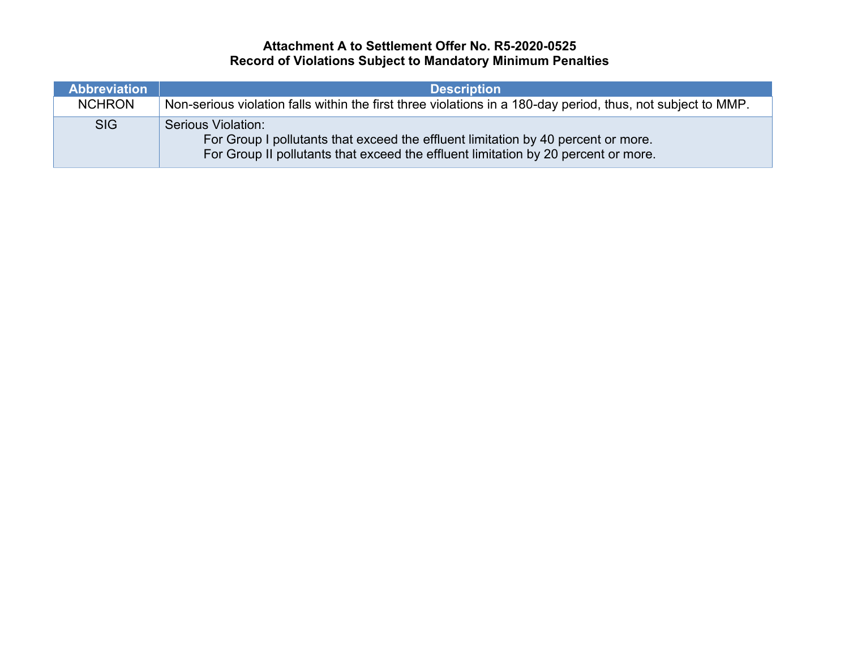# **Attachment A to Settlement Offer No. R5-2020-0525 Record of Violations Subject to Mandatory Minimum Penalties**

| <b>Abbreviation</b> | <b>Description</b>                                                                                                                                                                                   |
|---------------------|------------------------------------------------------------------------------------------------------------------------------------------------------------------------------------------------------|
| <b>NCHRON</b>       | Non-serious violation falls within the first three violations in a 180-day period, thus, not subject to MMP.                                                                                         |
| <b>SIG</b>          | <b>Serious Violation:</b><br>For Group I pollutants that exceed the effluent limitation by 40 percent or more.<br>For Group II pollutants that exceed the effluent limitation by 20 percent or more. |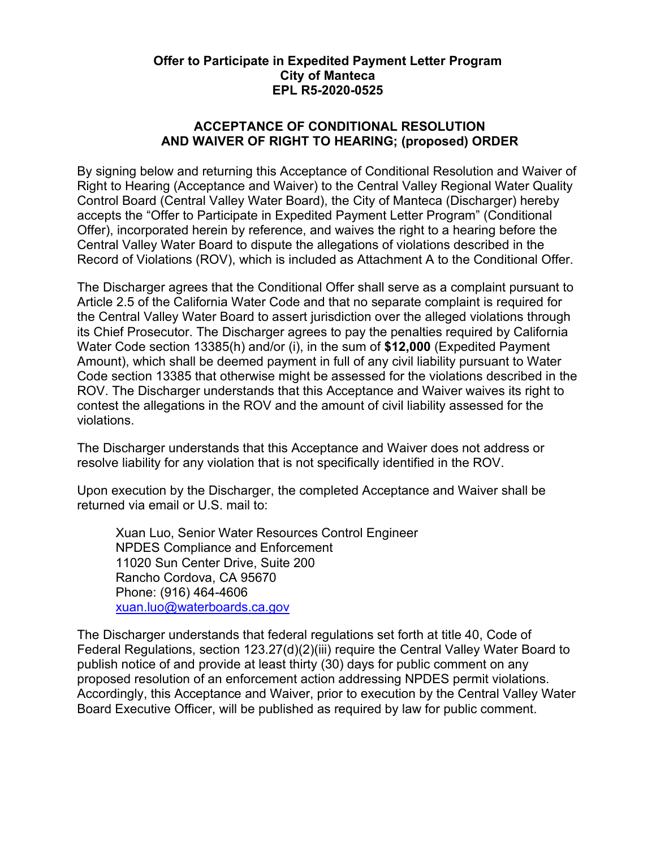## **Offer to Participate in Expedited Payment Letter Program City of Manteca EPL R5-2020-0525**

## **ACCEPTANCE OF CONDITIONAL RESOLUTION AND WAIVER OF RIGHT TO HEARING; (proposed) ORDER**

By signing below and returning this Acceptance of Conditional Resolution and Waiver of Right to Hearing (Acceptance and Waiver) to the Central Valley Regional Water Quality Control Board (Central Valley Water Board), the City of Manteca (Discharger) hereby accepts the "Offer to Participate in Expedited Payment Letter Program" (Conditional Offer), incorporated herein by reference, and waives the right to a hearing before the Central Valley Water Board to dispute the allegations of violations described in the Record of Violations (ROV), which is included as Attachment A to the Conditional Offer.

The Discharger agrees that the Conditional Offer shall serve as a complaint pursuant to Article 2.5 of the California Water Code and that no separate complaint is required for the Central Valley Water Board to assert jurisdiction over the alleged violations through its Chief Prosecutor. The Discharger agrees to pay the penalties required by California Water Code section 13385(h) and/or (i), in the sum of **\$12,000** (Expedited Payment Amount), which shall be deemed payment in full of any civil liability pursuant to Water Code section 13385 that otherwise might be assessed for the violations described in the ROV. The Discharger understands that this Acceptance and Waiver waives its right to contest the allegations in the ROV and the amount of civil liability assessed for the violations.

The Discharger understands that this Acceptance and Waiver does not address or resolve liability for any violation that is not specifically identified in the ROV.

Upon execution by the Discharger, the completed Acceptance and Waiver shall be returned via email or U.S. mail to:

Xuan Luo, Senior Water Resources Control Engineer NPDES Compliance and Enforcement 11020 Sun Center Drive, Suite 200 Rancho Cordova, CA 95670 Phone: (916) 464-4606 [xuan.luo@waterboards.ca.gov](mailto:xuan.luo@waterboards.ca.gov)

The Discharger understands that federal regulations set forth at title 40, Code of Federal Regulations, section 123.27(d)(2)(iii) require the Central Valley Water Board to publish notice of and provide at least thirty (30) days for public comment on any proposed resolution of an enforcement action addressing NPDES permit violations. Accordingly, this Acceptance and Waiver, prior to execution by the Central Valley Water Board Executive Officer, will be published as required by law for public comment.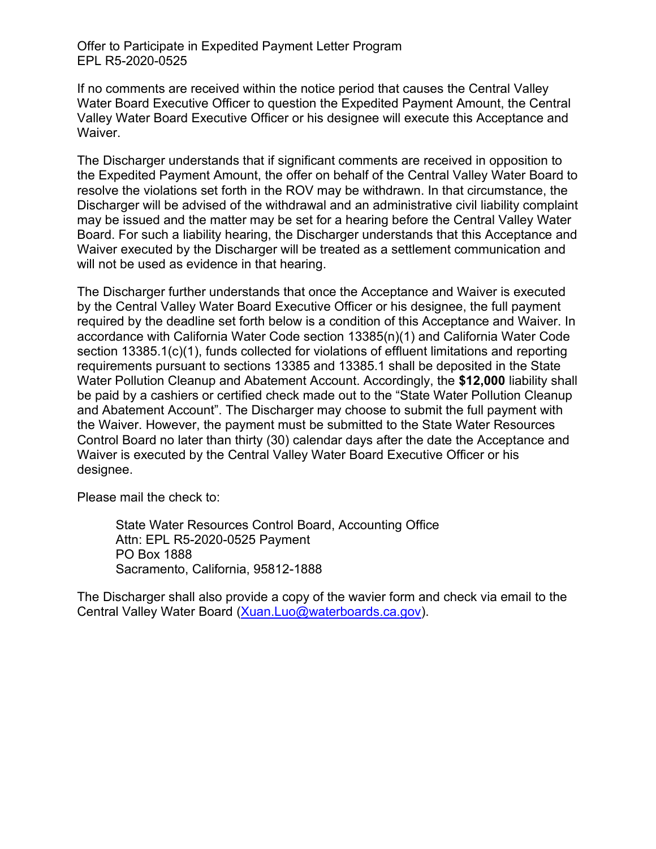Offer to Participate in Expedited Payment Letter Program EPL R5-2020-0525

If no comments are received within the notice period that causes the Central Valley Water Board Executive Officer to question the Expedited Payment Amount, the Central Valley Water Board Executive Officer or his designee will execute this Acceptance and Waiver.

The Discharger understands that if significant comments are received in opposition to the Expedited Payment Amount, the offer on behalf of the Central Valley Water Board to resolve the violations set forth in the ROV may be withdrawn. In that circumstance, the Discharger will be advised of the withdrawal and an administrative civil liability complaint may be issued and the matter may be set for a hearing before the Central Valley Water Board. For such a liability hearing, the Discharger understands that this Acceptance and Waiver executed by the Discharger will be treated as a settlement communication and will not be used as evidence in that hearing.

The Discharger further understands that once the Acceptance and Waiver is executed by the Central Valley Water Board Executive Officer or his designee, the full payment required by the deadline set forth below is a condition of this Acceptance and Waiver. In accordance with California Water Code section 13385(n)(1) and California Water Code section 13385.1(c)(1), funds collected for violations of effluent limitations and reporting requirements pursuant to sections 13385 and 13385.1 shall be deposited in the State Water Pollution Cleanup and Abatement Account. Accordingly, the **\$12,000** liability shall be paid by a cashiers or certified check made out to the "State Water Pollution Cleanup and Abatement Account". The Discharger may choose to submit the full payment with the Waiver. However, the payment must be submitted to the State Water Resources Control Board no later than thirty (30) calendar days after the date the Acceptance and Waiver is executed by the Central Valley Water Board Executive Officer or his designee.

Please mail the check to:

State Water Resources Control Board, Accounting Office Attn: EPL R5-2020-0525 Payment PO Box 1888 Sacramento, California, 95812-1888

The Discharger shall also provide a copy of the wavier form and check via email to the Central Valley Water Board ([Xuan.Luo@waterboards.ca.gov](mailto:Xuan.Luo@waterboards.ca.gov)).